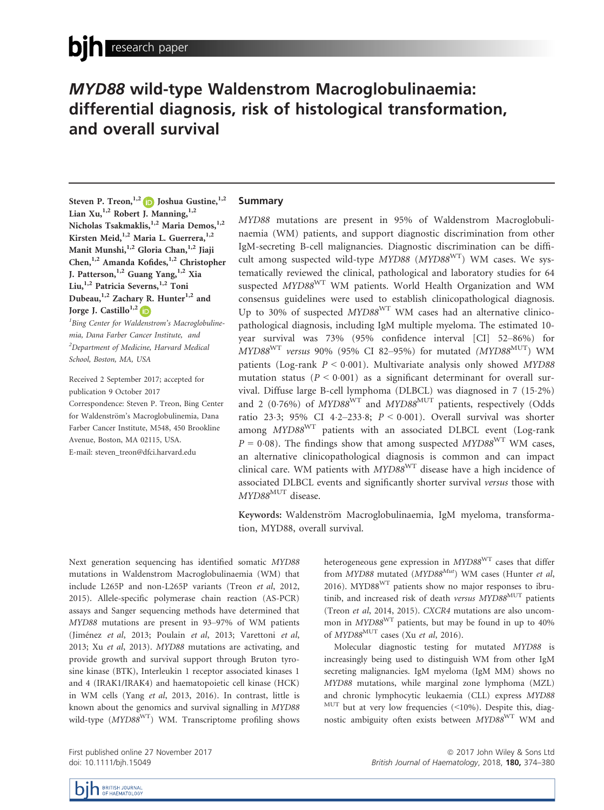# MYD88 wild-type Waldenstrom Macroglobulinaemia: differential diagnosis, risk of histological transformation, and overall survival

Steven P. Treon,<sup>1,[2](http://orcid.org/0000-0001-6393-6154)</sup> D Joshua Gustine,<sup>1,2</sup> Lian Xu,<sup>1,2</sup> Robert J. Manning,<sup>1,2</sup> Nicholas Tsakmaklis,<sup>1,2</sup> Maria Demos,<sup>1,2</sup> Kirsten Meid,<sup>1,2</sup> Maria L. Guerrera,<sup>1,2</sup> Manit Munshi, <sup>1,2</sup> Gloria Chan, <sup>1,2</sup> Jiaji Chen,1,2 Amanda Kofides,1,2 Christopher J. Patterson,  $1,2$  Guang Yang,  $1,2$  Xia Liu,<sup>1,2</sup> Patricia Severns,<sup>1,2</sup> Toni Dubeau, $^{1,2}$  Zachary R. Hunter $^{1,2}$  and Jorge J. Castillo<sup>1,[2](http://orcid.org/0000-0001-9490-7532)</sup>

<sup>1</sup>Bing Center for Waldenstrom's Macroglobulinemia, Dana Farber Cancer Institute, and <sup>2</sup>Department of Medicine, Harvard Medical School, Boston, MA, USA

Received 2 September 2017; accepted for publication 9 October 2017 Correspondence: Steven P. Treon, Bing Center for Waldenström's Macroglobulinemia, Dana Farber Cancer Institute, M548, 450 Brookline Avenue, Boston, MA 02115, USA. E-mail: steven\_treon@dfci.harvard.edu

## Summary

MYD88 mutations are present in 95% of Waldenstrom Macroglobulinaemia (WM) patients, and support diagnostic discrimination from other IgM-secreting B-cell malignancies. Diagnostic discrimination can be difficult among suspected wild-type  $MYD88$   $(MYD88<sup>WT</sup>)$  WM cases. We systematically reviewed the clinical, pathological and laboratory studies for 64 suspected MYD88<sup>WT</sup> WM patients. World Health Organization and WM consensus guidelines were used to establish clinicopathological diagnosis. Up to 30% of suspected MYD88<sup>WT</sup> WM cases had an alternative clinicopathological diagnosis, including IgM multiple myeloma. The estimated 10 year survival was 73% (95% confidence interval [CI] 52–86%) for  $MYD88^{WT}$  versus 90% (95% CI 82-95%) for mutated  $(MYD88^{MUT})$  WM patients (Log-rank  $P \le 0.001$ ). Multivariate analysis only showed MYD88 mutation status ( $P < 0.001$ ) as a significant determinant for overall survival. Diffuse large B-cell lymphoma (DLBCL) was diagnosed in 7 (152%) and 2 (0.76%) of  $MYD88^{WT}$  and  $MYD88^{MUT}$  patients, respectively (Odds ratio 23.3; 95% CI 4.2-233.8;  $P < 0.001$ ). Overall survival was shorter among MYD88WT patients with an associated DLBCL event (Log-rank  $P = 0.08$ ). The findings show that among suspected MYD88<sup>WT</sup> WM cases, an alternative clinicopathological diagnosis is common and can impact clinical care. WM patients with  $MYD88^{WT}$  disease have a high incidence of associated DLBCL events and significantly shorter survival versus those with MYD88<sup>MUT</sup> disease.

Keywords: Waldenström Macroglobulinaemia, IgM myeloma, transformation, MYD88, overall survival.

Next generation sequencing has identified somatic MYD88 mutations in Waldenstrom Macroglobulinaemia (WM) that include L265P and non-L265P variants (Treon et al, 2012, 2015). Allele-specific polymerase chain reaction (AS-PCR) assays and Sanger sequencing methods have determined that MYD88 mutations are present in 93–97% of WM patients (Jiménez et al, 2013; Poulain et al, 2013; Varettoni et al, 2013; Xu et al, 2013). MYD88 mutations are activating, and provide growth and survival support through Bruton tyrosine kinase (BTK), Interleukin 1 receptor associated kinases 1 and 4 (IRAK1/IRAK4) and haematopoietic cell kinase (HCK) in WM cells (Yang et al, 2013, 2016). In contrast, little is known about the genomics and survival signalling in MYD88 wild-type (MYD88<sup>WT</sup>) WM. Transcriptome profiling shows

First published online 27 November 2017 doi: 10.1111/bjh.15049

heterogeneous gene expression in MYD88<sup>WT</sup> cases that differ from  $MYD88$  mutated  $(MYD88^{Mut})$  WM cases (Hunter et al, 2016). MYD88WT patients show no major responses to ibrutinib, and increased risk of death versus MYD88<sup>MUT</sup> patients (Treon et al, 2014, 2015). CXCR4 mutations are also uncommon in MYD88WT patients, but may be found in up to 40% of  $MYD88$ <sup>MUT</sup> cases (Xu et al, 2016).

Molecular diagnostic testing for mutated MYD88 is increasingly being used to distinguish WM from other IgM secreting malignancies. IgM myeloma (IgM MM) shows no MYD88 mutations, while marginal zone lymphoma (MZL) and chronic lymphocytic leukaemia (CLL) express MYD88  $MUT$  but at very low frequencies (<10%). Despite this, diagnostic ambiguity often exists between MYD88<sup>WT</sup> WM and

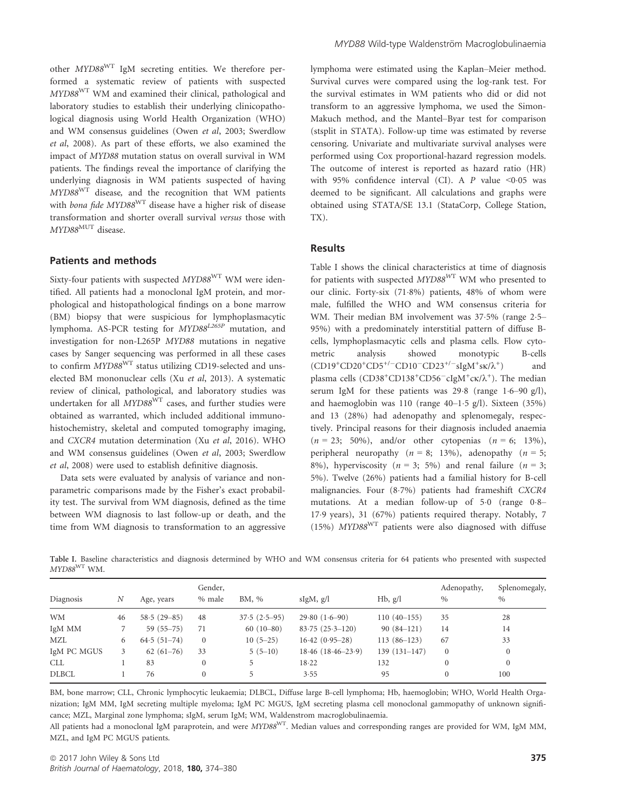other MYD88WT IgM secreting entities. We therefore performed a systematic review of patients with suspected MYD88WT WM and examined their clinical, pathological and laboratory studies to establish their underlying clinicopathological diagnosis using World Health Organization (WHO) and WM consensus guidelines (Owen et al, 2003; Swerdlow et al, 2008). As part of these efforts, we also examined the impact of MYD88 mutation status on overall survival in WM patients. The findings reveal the importance of clarifying the underlying diagnosis in WM patients suspected of having MYD88WT disease, and the recognition that WM patients with bona fide MYD88<sup>WT</sup> disease have a higher risk of disease transformation and shorter overall survival versus those with MYD88<sup>MUT</sup> disease.

# Patients and methods

Sixty-four patients with suspected  $MYD88<sup>WT</sup> WM$  were identified. All patients had a monoclonal IgM protein, and morphological and histopathological findings on a bone marrow (BM) biopsy that were suspicious for lymphoplasmacytic lymphoma. AS-PCR testing for  $MYD88^{L265P}$  mutation, and investigation for non-L265P MYD88 mutations in negative cases by Sanger sequencing was performed in all these cases to confirm  $MYD88^{WT}$  status utilizing CD19-selected and unselected BM mononuclear cells (Xu et al, 2013). A systematic review of clinical, pathological, and laboratory studies was undertaken for all MYD88<sup>WT</sup> cases, and further studies were obtained as warranted, which included additional immunohistochemistry, skeletal and computed tomography imaging, and CXCR4 mutation determination (Xu et al, 2016). WHO and WM consensus guidelines (Owen et al, 2003; Swerdlow et al, 2008) were used to establish definitive diagnosis.

Data sets were evaluated by analysis of variance and nonparametric comparisons made by the Fisher's exact probability test. The survival from WM diagnosis, defined as the time between WM diagnosis to last follow-up or death, and the time from WM diagnosis to transformation to an aggressive lymphoma were estimated using the Kaplan–Meier method. Survival curves were compared using the log-rank test. For the survival estimates in WM patients who did or did not transform to an aggressive lymphoma, we used the Simon-Makuch method, and the Mantel–Byar test for comparison (stsplit in STATA). Follow-up time was estimated by reverse censoring. Univariate and multivariate survival analyses were performed using Cox proportional-hazard regression models. The outcome of interest is reported as hazard ratio (HR) with 95% confidence interval (CI). A  $P$  value <0.05 was deemed to be significant. All calculations and graphs were obtained using STATA/SE 13.1 (StataCorp, College Station, TX).

## Results

Table I shows the clinical characteristics at time of diagnosis for patients with suspected  $MYD88^{WT}$  WM who presented to our clinic. Forty-six (71.8%) patients, 48% of whom were male, fulfilled the WHO and WM consensus criteria for WM. Their median BM involvement was 37.5% (range 2.5– 95%) with a predominately interstitial pattern of diffuse Bcells, lymphoplasmacytic cells and plasma cells. Flow cytometric analysis showed monotypic B-cells  $(CD19+CD20+CD5^{+/-}CD10-CD23^{+/-}slgM^+sK/\lambda^+$ ) and plasma cells (CD38<sup>+</sup>CD138<sup>+</sup>CD56<sup>-</sup>cIgM<sup>+</sup>cK/ $\lambda$ <sup>+</sup>). The median serum IgM for these patients was  $29.8$  (range  $1.6-90$  g/l), and haemoglobin was 110 (range 40–15 g/l). Sixteen (35%) and 13 (28%) had adenopathy and splenomegaly, respectively. Principal reasons for their diagnosis included anaemia  $(n = 23; 50\%)$ , and/or other cytopenias  $(n = 6; 13\%)$ , peripheral neuropathy ( $n = 8$ ; 13%), adenopathy ( $n = 5$ ; 8%), hyperviscosity ( $n = 3$ ; 5%) and renal failure ( $n = 3$ ; 5%). Twelve (26%) patients had a familial history for B-cell malignancies. Four (87%) patients had frameshift CXCR4 mutations. At a median follow-up of 5.0 (range 0.8– 179 years), 31 (67%) patients required therapy. Notably, 7 (15%)  $MYD88<sup>WT</sup>$  patients were also diagnosed with diffuse

Table I. Baseline characteristics and diagnosis determined by WHO and WM consensus criteria for 64 patients who presented with suspected  $MYD88^{\rm WT}$  WM.

| Diagnosis    | N  | Age, years      | % male       | BM, %          | slgM, g/l           | Hb, g/l        | Adenopathy,<br>$\%$ | Splenomegaly,<br>$\%$ |
|--------------|----|-----------------|--------------|----------------|---------------------|----------------|---------------------|-----------------------|
|              |    |                 |              |                |                     |                |                     |                       |
| <b>WM</b>    | 46 | $58.5(29 - 85)$ | 48           | $37.5(2.5-95)$ | $29.80(1.6-90)$     | $110(40-155)$  | 35                  | 28                    |
| IgM MM       |    | $59(55-75)$     | 71           | $60(10-80)$    | $83.75(25.3-120)$   | $90(84-121)$   | 14                  | 14                    |
| MZL          | 6  | $64.5(51-74)$   | $\mathbf{0}$ | $10(5-25)$     | $16.42(0.95-28)$    | $113(86-123)$  | 67                  | 33                    |
| IgM PC MGUS  | 3  | $62(61-76)$     | 33           | $5(5-10)$      | $18.46(18.46-23.9)$ | $139(131-147)$ | $\overline{0}$      |                       |
| <b>CLL</b>   |    | 83              | $\mathbf{0}$ |                | 18.22               | 132            | $\mathbf{0}$        |                       |
| <b>DLBCL</b> |    | 76              | $\Omega$     |                | 3.55                | 95             | $\overline{0}$      | 100                   |

BM, bone marrow; CLL, Chronic lymphocytic leukaemia; DLBCL, Diffuse large B-cell lymphoma; Hb, haemoglobin; WHO, World Health Organization; IgM MM, IgM secreting multiple myeloma; IgM PC MGUS, IgM secreting plasma cell monoclonal gammopathy of unknown significance; MZL, Marginal zone lymphoma; sIgM, serum IgM; WM, Waldenstrom macroglobulinaemia.

All patients had a monoclonal IgM paraprotein, and were MYD88WT. Median values and corresponding ranges are provided for WM, IgM MM, MZL, and IgM PC MGUS patients.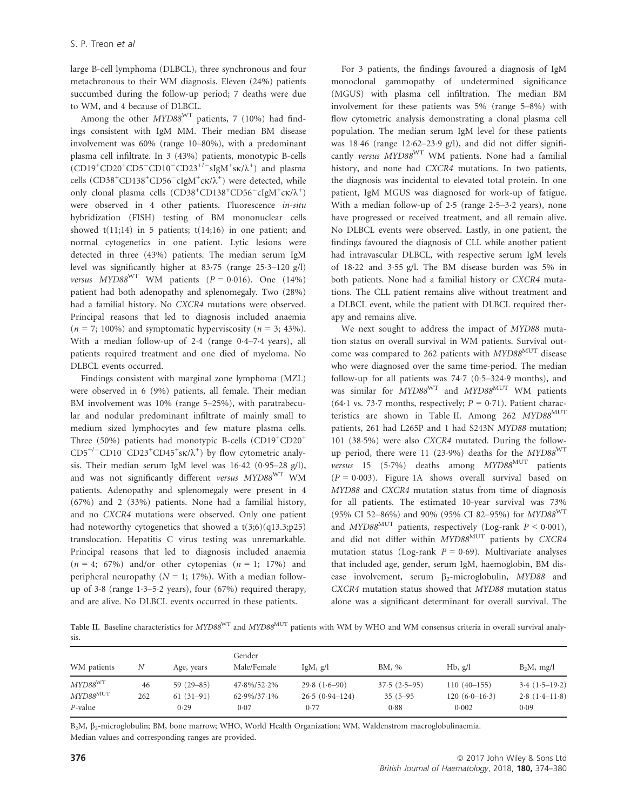large B-cell lymphoma (DLBCL), three synchronous and four metachronous to their WM diagnosis. Eleven (24%) patients succumbed during the follow-up period; 7 deaths were due to WM, and 4 because of DLBCL.

Among the other  $MYD88<sup>WT</sup>$  patients, 7 (10%) had findings consistent with IgM MM. Their median BM disease involvement was 60% (range 10–80%), with a predominant plasma cell infiltrate. In 3 (43%) patients, monotypic B-cells  $(CD19+CD20+CD5-CD10-CD23<sup>+/-</sup> sIgM<sup>+</sup>sK/λ<sup>+</sup>)$  and plasma cells (CD38<sup>+</sup>CD138<sup>+</sup>CD56<sup>-</sup>cIgM<sup>+</sup>ck/ $\lambda$ <sup>+</sup>) were detected, while only clonal plasma cells (CD38<sup>+</sup>CD138<sup>+</sup>CD56<sup>-</sup>cIgM<sup>+</sup>ck/ $\lambda$ <sup>+</sup>) were observed in 4 other patients. Fluorescence in-situ hybridization (FISH) testing of BM mononuclear cells showed  $t(11;14)$  in 5 patients;  $t(14;16)$  in one patient; and normal cytogenetics in one patient. Lytic lesions were detected in three (43%) patients. The median serum IgM level was significantly higher at  $83.75$  (range  $25.3-120$  g/l) versus MYD88<sup>WT</sup> WM patients ( $P = 0.016$ ). One (14%) patient had both adenopathy and splenomegaly. Two (28%) had a familial history. No CXCR4 mutations were observed. Principal reasons that led to diagnosis included anaemia  $(n = 7; 100\%)$  and symptomatic hyperviscosity  $(n = 3; 43\%).$ With a median follow-up of  $2.4$  (range  $0.4-7.4$  years), all patients required treatment and one died of myeloma. No DLBCL events occurred.

Findings consistent with marginal zone lymphoma (MZL) were observed in 6 (9%) patients, all female. Their median BM involvement was 10% (range 5–25%), with paratrabecular and nodular predominant infiltrate of mainly small to medium sized lymphocytes and few mature plasma cells. Three (50%) patients had monotypic B-cells (CD19<sup>+</sup>CD20<sup>+</sup>  $CD5^{+/-}CD10^-CD23^+CD45^+$ sk/ $\lambda^+$ ) by flow cytometric analysis. Their median serum IgM level was  $16.42$  (0.95–28 g/l), and was not significantly different versus MYD88WT WM patients. Adenopathy and splenomegaly were present in 4 (67%) and 2 (33%) patients. None had a familial history, and no CXCR4 mutations were observed. Only one patient had noteworthy cytogenetics that showed a  $t(3;6)(q13.3;p25)$ translocation. Hepatitis C virus testing was unremarkable. Principal reasons that led to diagnosis included anaemia  $(n = 4; 67%)$  and/or other cytopenias  $(n = 1; 17%)$  and peripheral neuropathy ( $N = 1$ ; 17%). With a median followup of  $3.8$  (range  $1.3-5.2$  years), four (67%) required therapy, and are alive. No DLBCL events occurred in these patients.

For 3 patients, the findings favoured a diagnosis of IgM monoclonal gammopathy of undetermined significance (MGUS) with plasma cell infiltration. The median BM involvement for these patients was 5% (range 5–8%) with flow cytometric analysis demonstrating a clonal plasma cell population. The median serum IgM level for these patients was  $18.46$  (range  $12.62-23.9$  g/l), and did not differ significantly versus MYD88<sup>WT</sup> WM patients. None had a familial history, and none had CXCR4 mutations. In two patients, the diagnosis was incidental to elevated total protein. In one patient, IgM MGUS was diagnosed for work-up of fatigue. With a median follow-up of  $2.5$  (range  $2.5-3.2$  years), none have progressed or received treatment, and all remain alive. No DLBCL events were observed. Lastly, in one patient, the findings favoured the diagnosis of CLL while another patient had intravascular DLBCL, with respective serum IgM levels of 1822 and 355 g/l. The BM disease burden was 5% in both patients. None had a familial history or CXCR4 mutations. The CLL patient remains alive without treatment and a DLBCL event, while the patient with DLBCL required therapy and remains alive.

We next sought to address the impact of MYD88 mutation status on overall survival in WM patients. Survival outcome was compared to 262 patients with MYD88<sup>MUT</sup> disease who were diagnosed over the same time-period. The median follow-up for all patients was  $74.7$  (0.5–324.9 months), and was similar for MYD88<sup>WT</sup> and MYD88<sup>MUT</sup> WM patients (64.1 vs. 73.7 months, respectively;  $P = 0.71$ ). Patient characteristics are shown in Table II. Among 262 MYD88<sup>MUT</sup> patients, 261 had L265P and 1 had S243N MYD88 mutation; 101 (385%) were also CXCR4 mutated. During the followup period, there were 11 (23.9%) deaths for the  $MYD88<sup>WT</sup>$ versus 15 (5.7%) deaths among  $MYD88$ <sup>MUT</sup> patients  $(P = 0.003)$ . Figure 1A shows overall survival based on MYD88 and CXCR4 mutation status from time of diagnosis for all patients. The estimated 10-year survival was 73% (95% CI 52–86%) and 90% (95% CI 82–95%) for MYD88WT and MYD88<sup>MUT</sup> patients, respectively (Log-rank  $P \le 0.001$ ), and did not differ within MYD88<sup>MUT</sup> patients by CXCR4 mutation status (Log-rank  $P = 0.69$ ). Multivariate analyses that included age, gender, serum IgM, haemoglobin, BM disease involvement, serum  $\beta_2$ -microglobulin, MYD88 and CXCR4 mutation status showed that MYD88 mutation status alone was a significant determinant for overall survival. The

Table II. Baseline characteristics for MYD88<sup>WT</sup> and MYD88<sup>MUT</sup> patients with WM by WHO and WM consensus criteria in overall survival analysis.

| WM patients            | Ν   | Age, years  | Gender<br>Male/Female  | $\text{IgM}$ , g/l | BM, %          | Hb, g/l         | $B_2M$ , mg/l   |
|------------------------|-----|-------------|------------------------|--------------------|----------------|-----------------|-----------------|
| MYD88WT                | 46  | $59(29-85)$ | $47.8\%/52.2\%$        | $29.8(1.6-90)$     | $37.5(2.5-95)$ | $110(40-155)$   | $3.4(1.5-19.2)$ |
| $MYD88$ <sup>MUT</sup> | 262 | $61(31-91)$ | $62.9\frac{6}{37.1\%}$ | $26.5(0.94-124)$   | $35(5-95)$     | $120(6.0-16.3)$ | $2.8(1.4-11.8)$ |
| P-value                |     | 0.29        | 0.07                   | 0.77               | 0.88           | 0.002           | 0.09            |

B<sub>2</sub>M,  $\beta_2$ -microglobulin; BM, bone marrow; WHO, World Health Organization; WM, Waldenstrom macroglobulinaemia. Median values and corresponding ranges are provided.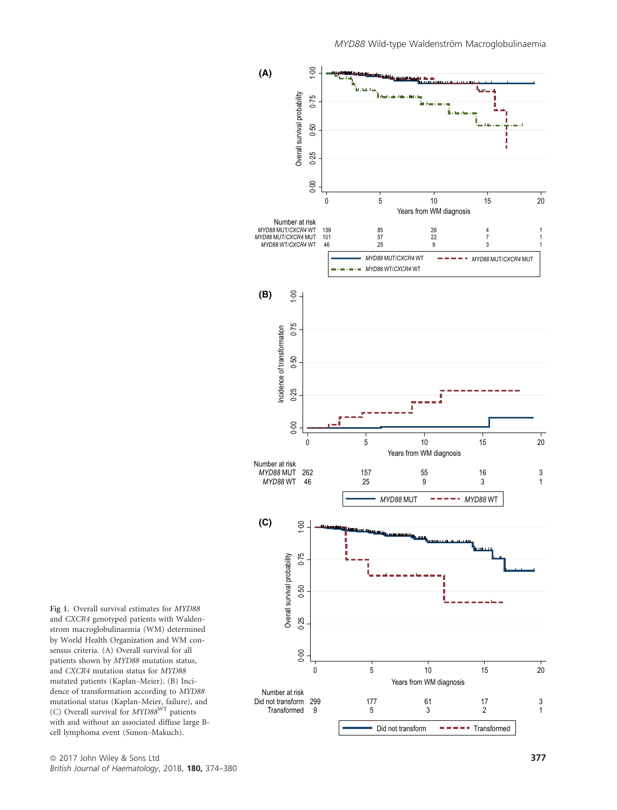

Fig 1. Overall survival estimates for MYD88 and CXCR4 genotyped patients with Waldenstrom macroglobulinaemia (WM) determined by World Health Organization and WM consensus criteria. (A) Overall survival for all patients shown by MYD88 mutation status, and CXCR4 mutation status for MYD88 mutated patients (Kaplan–Meier). (B) Incidence of transformation according to MYD88 mutational status (Kaplan–Meier, failure), and (C) Overall survival for MYD88<sup>WT</sup> patients with and without an associated diffuse large Bcell lymphoma event (Simon–Makuch).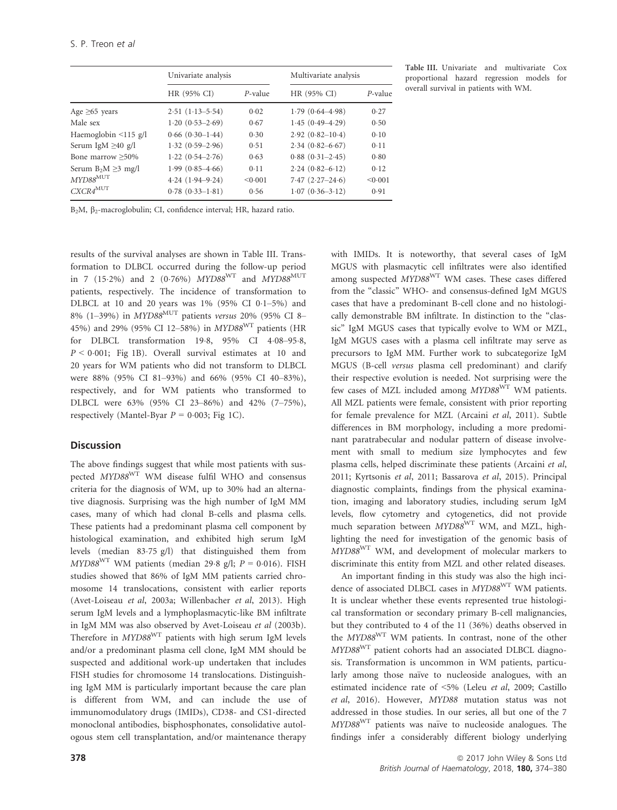|                            | Univariate analysis |            | Multivariate analysis |            |  |
|----------------------------|---------------------|------------|-----------------------|------------|--|
|                            | HR (95% CI)         | $P$ -value | HR (95% CI)           | $P$ -value |  |
| Age $\geq 65$ years        | $2.51(1.13 - 5.54)$ | 0.02       | $1.79(0.64 - 4.98)$   | 0.27       |  |
| Male sex                   | $1.20(0.53 - 2.69)$ | 0.67       | $1.45(0.49 - 4.29)$   | 0.50       |  |
| Haemoglobin $\leq$ 115 g/l | $0.66(0.30-1.44)$   | 0.30       | $2.92(0.82 - 10.4)$   | 0.10       |  |
| Serum IgM $\geq$ 40 g/l    | $1.32(0.59-2.96)$   | 0.51       | $2.34(0.82 - 6.67)$   | 0.11       |  |
| Bone marrow $\geq 50\%$    | $1.22(0.54 - 2.76)$ | 0.63       | $0.88(0.31-2.45)$     | 0.80       |  |
| Serum $B_2M \geq 3$ mg/l   | $1.99(0.85 - 4.66)$ | 0.11       | $2.24(0.82 - 6.12)$   | 0.12       |  |
| $MYD88^{\rm MUT}$          | $4.24(1.94 - 9.24)$ | < 0.001    | $7.47(2.27-24.6)$     | < 0.001    |  |
| $CXCR4^{MUT}$              | $0.78(0.33 - 1.81)$ | 0.56       | $1.07(0.36-3.12)$     | 0.91       |  |

Table III. Univariate and multivariate Cox proportional hazard regression models for overall survival in patients with WM.

B<sub>2</sub>M, β<sub>2</sub>-macroglobulin; CI, confidence interval; HR, hazard ratio.

results of the survival analyses are shown in Table III. Transformation to DLBCL occurred during the follow-up period in 7 (15.2%) and 2 (0.76%)  $MYD88^{WT}$  and  $MYD88^{MUT}$ patients, respectively. The incidence of transformation to DLBCL at 10 and 20 years was  $1\%$  (95% CI 0.1-5%) and 8% (1–39%) in MYD88<sup>MUT</sup> patients versus 20% (95% CI 8– 45%) and 29% (95% CI 12–58%) in MYD88WT patients (HR for DLBCL transformation 198, 95% CI 408–958,  $P < 0.001$ ; Fig 1B). Overall survival estimates at 10 and 20 years for WM patients who did not transform to DLBCL were 88% (95% CI 81–93%) and 66% (95% CI 40–83%), respectively, and for WM patients who transformed to DLBCL were 63% (95% CI 23–86%) and 42% (7–75%), respectively (Mantel-Byar  $P = 0.003$ ; Fig 1C).

# **Discussion**

The above findings suggest that while most patients with suspected MYD88WT WM disease fulfil WHO and consensus criteria for the diagnosis of WM, up to 30% had an alternative diagnosis. Surprising was the high number of IgM MM cases, many of which had clonal B-cells and plasma cells. These patients had a predominant plasma cell component by histological examination, and exhibited high serum IgM levels (median 8375 g/l) that distinguished them from  $MYD88<sup>WT</sup>$  WM patients (median 29.8 g/l;  $P = 0.016$ ). FISH studies showed that 86% of IgM MM patients carried chromosome 14 translocations, consistent with earlier reports (Avet-Loiseau et al, 2003a; Willenbacher et al, 2013). High serum IgM levels and a lymphoplasmacytic-like BM infiltrate in IgM MM was also observed by Avet-Loiseau et al (2003b). Therefore in MYD88WT patients with high serum IgM levels and/or a predominant plasma cell clone, IgM MM should be suspected and additional work-up undertaken that includes FISH studies for chromosome 14 translocations. Distinguishing IgM MM is particularly important because the care plan is different from WM, and can include the use of immunomodulatory drugs (IMIDs), CD38- and CS1-directed monoclonal antibodies, bisphosphonates, consolidative autologous stem cell transplantation, and/or maintenance therapy with IMIDs. It is noteworthy, that several cases of IgM MGUS with plasmacytic cell infiltrates were also identified among suspected MYD88WT WM cases. These cases differed from the "classic" WHO- and consensus-defined IgM MGUS cases that have a predominant B-cell clone and no histologically demonstrable BM infiltrate. In distinction to the "classic" IgM MGUS cases that typically evolve to WM or MZL, IgM MGUS cases with a plasma cell infiltrate may serve as precursors to IgM MM. Further work to subcategorize IgM MGUS (B-cell versus plasma cell predominant) and clarify their respective evolution is needed. Not surprising were the few cases of MZL included among MYD88WT WM patients. All MZL patients were female, consistent with prior reporting for female prevalence for MZL (Arcaini et al, 2011). Subtle differences in BM morphology, including a more predominant paratrabecular and nodular pattern of disease involvement with small to medium size lymphocytes and few plasma cells, helped discriminate these patients (Arcaini et al, 2011; Kyrtsonis et al, 2011; Bassarova et al, 2015). Principal diagnostic complaints, findings from the physical examination, imaging and laboratory studies, including serum IgM levels, flow cytometry and cytogenetics, did not provide much separation between  $MYD88^{WT}$  WM, and MZL, highlighting the need for investigation of the genomic basis of MYD88WT WM, and development of molecular markers to discriminate this entity from MZL and other related diseases.

An important finding in this study was also the high incidence of associated DLBCL cases in MYD88<sup>WT</sup> WM patients. It is unclear whether these events represented true histological transformation or secondary primary B-cell malignancies, but they contributed to 4 of the 11 (36%) deaths observed in the MYD88WT WM patients. In contrast, none of the other MYD88WT patient cohorts had an associated DLBCL diagnosis. Transformation is uncommon in WM patients, particularly among those naïve to nucleoside analogues, with an estimated incidence rate of <5% (Leleu et al, 2009; Castillo et al, 2016). However, MYD88 mutation status was not addressed in those studies. In our series, all but one of the 7  $MYD88^{WT}$  patients was naïve to nucleoside analogues. The findings infer a considerably different biology underlying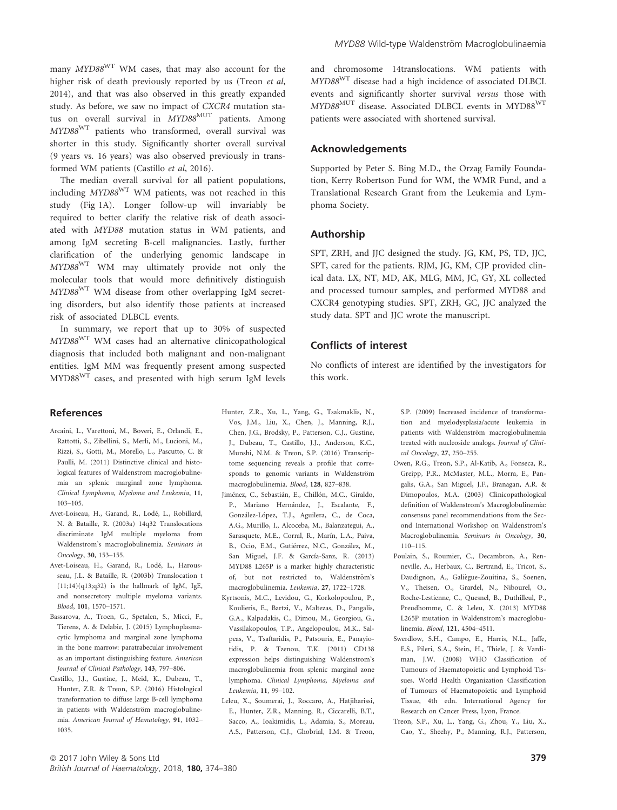many  $MYD88<sup>WT</sup>$  WM cases, that may also account for the higher risk of death previously reported by us (Treon et al, 2014), and that was also observed in this greatly expanded study. As before, we saw no impact of CXCR4 mutation status on overall survival in MYD88<sup>MUT</sup> patients. Among MYD88WT patients who transformed, overall survival was shorter in this study. Significantly shorter overall survival (9 years vs. 16 years) was also observed previously in transformed WM patients (Castillo et al, 2016).

The median overall survival for all patient populations, including MYD88WT WM patients, was not reached in this study (Fig 1A). Longer follow-up will invariably be required to better clarify the relative risk of death associated with MYD88 mutation status in WM patients, and among IgM secreting B-cell malignancies. Lastly, further clarification of the underlying genomic landscape in MYD88WT WM may ultimately provide not only the molecular tools that would more definitively distinguish MYD88WT WM disease from other overlapping IgM secreting disorders, but also identify those patients at increased risk of associated DLBCL events.

In summary, we report that up to 30% of suspected MYD88<sup>WT</sup> WM cases had an alternative clinicopathological diagnosis that included both malignant and non-malignant entities. IgM MM was frequently present among suspected MYD88WT cases, and presented with high serum IgM levels

## References

- Arcaini, L., Varettoni, M., Boveri, E., Orlandi, E., Rattotti, S., Zibellini, S., Merli, M., Lucioni, M., Rizzi, S., Gotti, M., Morello, L., Pascutto, C. & Paulli, M. (2011) Distinctive clinical and histological features of Waldenstrom macroglobulinemia an splenic marginal zone lymphoma. Clinical Lymphoma, Myeloma and Leukemia, 11, 103–105.
- Avet-Loiseau, H., Garand, R., Lodé, L., Robillard, N. & Bataille, R. (2003a) 14q32 Translocations discriminate IgM multiple myeloma from Waldenstrom's macroglobulinemia. Seminars in Oncology, 30, 153–155.
- Avet-Loiseau, H., Garand, R., Lodé, L., Harousseau, J.L. & Bataille, R. (2003b) Translocation t  $(11;14)(q13;q32)$  is the hallmark of IgM, IgE, and nonsecretory multiple myeloma variants. Blood, 101, 1570–1571.
- Bassarova, A., Troen, G., Spetalen, S., Micci, F., Tierens, A. & Delabie, J. (2015) Lymphoplasmacytic lymphoma and marginal zone lymphoma in the bone marrow: paratrabecular involvement as an important distinguishing feature. American Journal of Clinical Pathology, 143, 797–806.
- Castillo, J.J., Gustine, J., Meid, K., Dubeau, T., Hunter, Z.R. & Treon, S.P. (2016) Histological transformation to diffuse large B-cell lymphoma in patients with Waldenström macroglobulinemia. American Journal of Hematology, 91, 1032– 1035.

and chromosome 14translocations. WM patients with MYD88WT disease had a high incidence of associated DLBCL events and significantly shorter survival versus those with MYD88<sup>MUT</sup> disease. Associated DLBCL events in MYD88<sup>WT</sup> patients were associated with shortened survival.

#### Acknowledgements

Supported by Peter S. Bing M.D., the Orzag Family Foundation, Kerry Robertson Fund for WM, the WMR Fund, and a Translational Research Grant from the Leukemia and Lymphoma Society.

#### Authorship

SPT, ZRH, and JJC designed the study. JG, KM, PS, TD, JJC, SPT, cared for the patients. RJM, JG, KM, CJP provided clinical data. LX, NT, MD, AK, MLG, MM, JC, GY, XL collected and processed tumour samples, and performed MYD88 and CXCR4 genotyping studies. SPT, ZRH, GC, JJC analyzed the study data. SPT and JJC wrote the manuscript.

# Conflicts of interest

No conflicts of interest are identified by the investigators for this work.

- Hunter, Z.R., Xu, L., Yang, G., Tsakmaklis, N., Vos, J.M., Liu, X., Chen, J., Manning, R.J., Chen, J.G., Brodsky, P., Patterson, C.J., Gustine, J., Dubeau, T., Castillo, J.J., Anderson, K.C., Munshi, N.M. & Treon, S.P. (2016) Transcriptome sequencing reveals a profile that corresponds to genomic variants in Waldenström macroglobulinemia. Blood, 128, 827–838.
- Jiménez, C., Sebastián, E., Chillón, M.C., Giraldo, P., Mariano Hernández, J., Escalante, F., González-López, T.J., Aguilera, C., de Coca, A.G., Murillo, I., Alcoceba, M., Balanzategui, A., Sarasquete, M.E., Corral, R., Marín, L.A., Paiva, B., Ocio, E.M., Gutiérrez, N.C., González, M., San Miguel, J.F. & García-Sanz, R. (2013) MYD88 L265P is a marker highly characteristic of, but not restricted to, Waldenström's macroglobulinemia. Leukemia, 27, 1722–1728.
- Kyrtsonis, M.C., Levidou, G., Korkolopoulou, P., Koulieris, E., Bartzi, V., Maltezas, D., Pangalis, G.A., Kalpadakis, C., Dimou, M., Georgiou, G., Vassilakopoulos, T.P., Angelopoulou, M.K., Salpeas, V., Tsaftaridis, P., Patsouris, E., Panayiotidis, P. & Tzenou, T.K. (2011) CD138 expression helps distinguishing Waldenstrom's macroglobulinemia from splenic marginal zone lymphoma. Clinical Lymphoma, Myeloma and Leukemia, 11, 99–102.
- Leleu, X., Soumerai, J., Roccaro, A., Hatjiharissi, E., Hunter, Z.R., Manning, R., Ciccarelli, B.T., Sacco, A., Ioakimidis, L., Adamia, S., Moreau, A.S., Patterson, C.J., Ghobrial, I.M. & Treon,

S.P. (2009) Increased incidence of transformation and myelodysplasia/acute leukemia in patients with Waldenström macroglobulinemia treated with nucleoside analogs. Journal of Clinical Oncology, 27, 250–255.

- Owen, R.G., Treon, S.P., Al-Katib, A., Fonseca, R., Greipp, P.R., McMaster, M.L., Morra, E., Pangalis, G.A., San Miguel, J.F., Branagan, A.R. & Dimopoulos, M.A. (2003) Clinicopathological definition of Waldenstrom's Macroglobulinemia: consensus panel recommendations from the Second International Workshop on Waldenstrom's Macroglobulinemia. Seminars in Oncology, 30, 110–115.
- Poulain, S., Roumier, C., Decambron, A., Renneville, A., Herbaux, C., Bertrand, E., Tricot, S., Daudignon, A., Galiegue-Zouitina, S., Soenen, V., Theisen, O., Grardel, N., Nibourel, O., Roche-Lestienne, C., Quesnel, B., Duthilleul, P., Preudhomme, C. & Leleu, X. (2013) MYD88 L265P mutation in Waldenstrom's macroglobulinemia. Blood, 121, 4504–4511.
- Swerdlow, S.H., Campo, E., Harris, N.L., Jaffe, E.S., Pileri, S.A., Stein, H., Thiele, J. & Vardiman, J.W. (2008) WHO Classification of Tumours of Haematopoietic and Lymphoid Tissues. World Health Organization Classification of Tumours of Haematopoietic and Lymphoid Tissue, 4th edn. International Agency for Research on Cancer Press, Lyon, France.
- Treon, S.P., Xu, L., Yang, G., Zhou, Y., Liu, X., Cao, Y., Sheehy, P., Manning, R.J., Patterson,